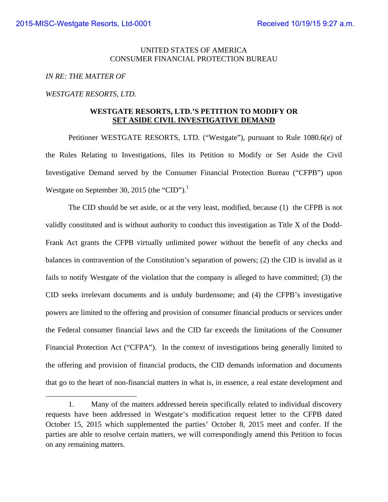### UNITED STATES OF AMERICA CONSUMER FINANCIAL PROTECTION BUREAU

### *IN RE: THE MATTER OF*

#### *WESTGATE RESORTS, LTD.*

### **WESTGATE RESORTS, LTD.'S PETITION TO MODIFY OR SET ASIDE CIVIL INVESTIGATIVE DEMAND**

 Petitioner WESTGATE RESORTS, LTD. ("Westgate"), pursuant to Rule 1080.6(e) of the Rules Relating to Investigations, files its Petition to Modify or Set Aside the Civil Investigative Demand served by the Consumer Financial Protection Bureau ("CFPB") upon Westgate on September 30, 2015 (the "CID").<sup>1</sup>

The CID should be set aside, or at the very least, modified, because (1) the CFPB is not validly constituted and is without authority to conduct this investigation as Title X of the Dodd-Frank Act grants the CFPB virtually unlimited power without the benefit of any checks and balances in contravention of the Constitution's separation of powers; (2) the CID is invalid as it fails to notify Westgate of the violation that the company is alleged to have committed; (3) the CID seeks irrelevant documents and is unduly burdensome; and (4) the CFPB's investigative powers are limited to the offering and provision of consumer financial products or services under the Federal consumer financial laws and the CID far exceeds the limitations of the Consumer Financial Protection Act ("CFPA"). In the context of investigations being generally limited to the offering and provision of financial products, the CID demands information and documents that go to the heart of non-financial matters in what is, in essence, a real estate development and

<sup>1.</sup> Many of the matters addressed herein specifically related to individual discovery requests have been addressed in Westgate's modification request letter to the CFPB dated October 15, 2015 which supplemented the parties' October 8, 2015 meet and confer. If the parties are able to resolve certain matters, we will correspondingly amend this Petition to focus on any remaining matters.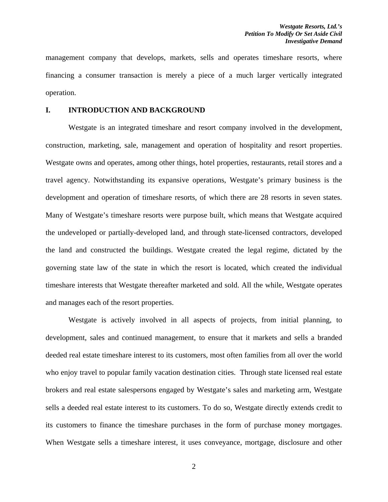management company that develops, markets, sells and operates timeshare resorts, where financing a consumer transaction is merely a piece of a much larger vertically integrated operation.

#### **I. INTRODUCTION AND BACKGROUND**

Westgate is an integrated timeshare and resort company involved in the development, construction, marketing, sale, management and operation of hospitality and resort properties. Westgate owns and operates, among other things, hotel properties, restaurants, retail stores and a travel agency. Notwithstanding its expansive operations, Westgate's primary business is the development and operation of timeshare resorts, of which there are 28 resorts in seven states. Many of Westgate's timeshare resorts were purpose built, which means that Westgate acquired the undeveloped or partially-developed land, and through state-licensed contractors, developed the land and constructed the buildings. Westgate created the legal regime, dictated by the governing state law of the state in which the resort is located, which created the individual timeshare interests that Westgate thereafter marketed and sold. All the while, Westgate operates and manages each of the resort properties.

Westgate is actively involved in all aspects of projects, from initial planning, to development, sales and continued management, to ensure that it markets and sells a branded deeded real estate timeshare interest to its customers, most often families from all over the world who enjoy travel to popular family vacation destination cities. Through state licensed real estate brokers and real estate salespersons engaged by Westgate's sales and marketing arm, Westgate sells a deeded real estate interest to its customers. To do so, Westgate directly extends credit to its customers to finance the timeshare purchases in the form of purchase money mortgages. When Westgate sells a timeshare interest, it uses conveyance, mortgage, disclosure and other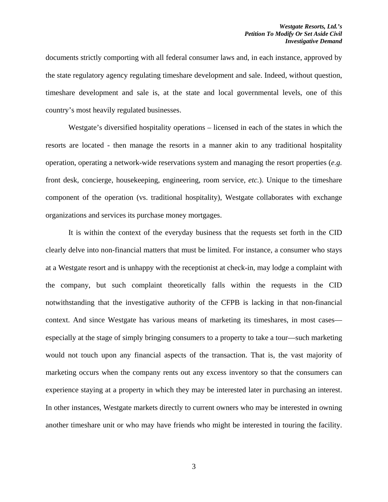documents strictly comporting with all federal consumer laws and, in each instance, approved by the state regulatory agency regulating timeshare development and sale. Indeed, without question, timeshare development and sale is, at the state and local governmental levels, one of this country's most heavily regulated businesses.

Westgate's diversified hospitality operations – licensed in each of the states in which the resorts are located - then manage the resorts in a manner akin to any traditional hospitality operation, operating a network-wide reservations system and managing the resort properties (*e.g.*  front desk, concierge, housekeeping, engineering, room service, *etc.*). Unique to the timeshare component of the operation (vs. traditional hospitality), Westgate collaborates with exchange organizations and services its purchase money mortgages.

It is within the context of the everyday business that the requests set forth in the CID clearly delve into non-financial matters that must be limited. For instance, a consumer who stays at a Westgate resort and is unhappy with the receptionist at check-in, may lodge a complaint with the company, but such complaint theoretically falls within the requests in the CID notwithstanding that the investigative authority of the CFPB is lacking in that non-financial context. And since Westgate has various means of marketing its timeshares, in most cases especially at the stage of simply bringing consumers to a property to take a tour—such marketing would not touch upon any financial aspects of the transaction. That is, the vast majority of marketing occurs when the company rents out any excess inventory so that the consumers can experience staying at a property in which they may be interested later in purchasing an interest. In other instances, Westgate markets directly to current owners who may be interested in owning another timeshare unit or who may have friends who might be interested in touring the facility.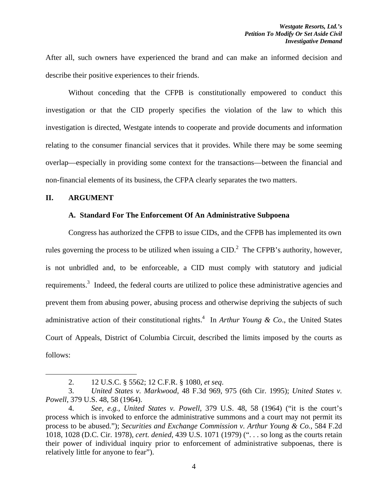After all, such owners have experienced the brand and can make an informed decision and describe their positive experiences to their friends.

Without conceding that the CFPB is constitutionally empowered to conduct this investigation or that the CID properly specifies the violation of the law to which this investigation is directed, Westgate intends to cooperate and provide documents and information relating to the consumer financial services that it provides. While there may be some seeming overlap—especially in providing some context for the transactions—between the financial and non-financial elements of its business, the CFPA clearly separates the two matters.

#### **II. ARGUMENT**

#### **A. Standard For The Enforcement Of An Administrative Subpoena**

Congress has authorized the CFPB to issue CIDs, and the CFPB has implemented its own rules governing the process to be utilized when issuing a  $CID<sup>2</sup>$ . The CFPB's authority, however, is not unbridled and, to be enforceable, a CID must comply with statutory and judicial requirements.<sup>3</sup> Indeed, the federal courts are utilized to police these administrative agencies and prevent them from abusing power, abusing process and otherwise depriving the subjects of such administrative action of their constitutional rights.<sup>4</sup> In *Arthur Young & Co.*, the United States Court of Appeals, District of Columbia Circuit, described the limits imposed by the courts as follows:

<sup>2. 12</sup> U.S.C. § 5562; 12 C.F.R. § 1080, *et seq*.

<sup>3.</sup> *United States v. Markwood*, 48 F.3d 969, 975 (6th Cir. 1995); *United States v. Powell*, 379 U.S. 48, 58 (1964).

<sup>4.</sup> *See, e.g., United States v. Powell*, 379 U.S. 48, 58 (1964) ("it is the court's process which is invoked to enforce the administrative summons and a court may not permit its process to be abused."); *Securities and Exchange Commission v. Arthur Young & Co.*, 584 F.2d 1018, 1028 (D.C. Cir. 1978), *cert. denied*, 439 U.S. 1071 (1979) (". . . so long as the courts retain their power of individual inquiry prior to enforcement of administrative subpoenas, there is relatively little for anyone to fear").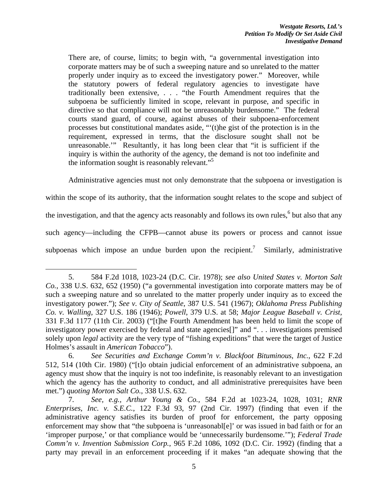There are, of course, limits; to begin with, "a governmental investigation into corporate matters may be of such a sweeping nature and so unrelated to the matter properly under inquiry as to exceed the investigatory power." Moreover, while the statutory powers of federal regulatory agencies to investigate have traditionally been extensive, . . . "the Fourth Amendment requires that the subpoena be sufficiently limited in scope, relevant in purpose, and specific in directive so that compliance will not be unreasonably burdensome." The federal courts stand guard, of course, against abuses of their subpoena-enforcement processes but constitutional mandates aside, "'(t)he gist of the protection is in the requirement, expressed in terms, that the disclosure sought shall not be unreasonable.'" Resultantly, it has long been clear that "it is sufficient if the inquiry is within the authority of the agency, the demand is not too indefinite and the information sought is reasonably relevant."<sup>5</sup>

Administrative agencies must not only demonstrate that the subpoena or investigation is

within the scope of its authority, that the information sought relates to the scope and subject of

the investigation, and that the agency acts reasonably and follows its own rules, <sup>6</sup> but also that any

such agency—including the CFPB—cannot abuse its powers or process and cannot issue

subpoenas which impose an undue burden upon the recipient.<sup>7</sup> Similarly, administrative

<sup>5. 584</sup> F.2d 1018, 1023-24 (D.C. Cir. 1978); *see also United States v. Morton Salt Co.*, 338 U.S. 632, 652 (1950) ("a governmental investigation into corporate matters may be of such a sweeping nature and so unrelated to the matter properly under inquiry as to exceed the investigatory power."); *See v. City of Seattle*, 387 U.S. 541 (1967); *Oklahoma Press Publishing Co. v. Walling*, 327 U.S. 186 (1946); *Powell*, 379 U.S. at 58; *Major League Baseball v. Crist*, 331 F.3d 1177 (11th Cir. 2003) ("[t]he Fourth Amendment has been held to limit the scope of investigatory power exercised by federal and state agencies[]" and ". . . investigations premised solely upon *legal* activity are the very type of "fishing expeditions" that were the target of Justice Holmes's assault in *American Tobacco*").

<sup>6.</sup> *See Securities and Exchange Comm'n v. Blackfoot Bituminous, Inc.*, 622 F.2d 512, 514 (10th Cir. 1980) ("[t]o obtain judicial enforcement of an administrative subpoena, an agency must show that the inquiry is not too indefinite, is reasonably relevant to an investigation which the agency has the authority to conduct, and all administrative prerequisites have been met.") *quoting Morton Salt Co.*, 338 U.S. 632.

<sup>7.</sup> *See, e.g., Arthur Young & Co.*, 584 F.2d at 1023-24, 1028, 1031; *RNR Enterprises, Inc. v. S.E.C.*, 122 F.3d 93, 97 (2nd Cir. 1997) (finding that even if the administrative agency satisfies its burden of proof for enforcement, the party opposing enforcement may show that "the subpoena is 'unreasonabl[e]' or was issued in bad faith or for an 'improper purpose,' or that compliance would be 'unnecessarily burdensome.'"); *Federal Trade Comm'n v. Invention Submission Corp.*, 965 F.2d 1086, 1092 (D.C. Cir. 1992) (finding that a party may prevail in an enforcement proceeding if it makes "an adequate showing that the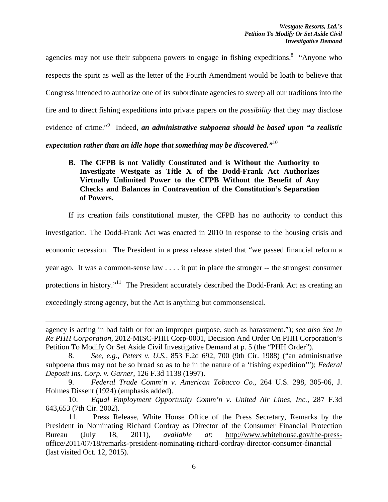agencies may not use their subpoena powers to engage in fishing expeditions.<sup>8</sup> "Anyone who respects the spirit as well as the letter of the Fourth Amendment would be loath to believe that Congress intended to authorize one of its subordinate agencies to sweep all our traditions into the fire and to direct fishing expeditions into private papers on the *possibility* that they may disclose evidence of crime."<sup>9</sup> Indeed, *an administrative subpoena should be based upon "a realistic expectation rather than an idle hope that something may be discovered."*10

**B. The CFPB is not Validly Constituted and is Without the Authority to Investigate Westgate as Title X of the Dodd-Frank Act Authorizes Virtually Unlimited Power to the CFPB Without the Benefit of Any Checks and Balances in Contravention of the Constitution's Separation of Powers.** 

If its creation fails constitutional muster, the CFPB has no authority to conduct this

investigation. The Dodd-Frank Act was enacted in 2010 in response to the housing crisis and

economic recession. The President in a press release stated that "we passed financial reform a

year ago. It was a common-sense law . . . . it put in place the stronger -- the strongest consumer

protections in history."<sup>11</sup> The President accurately described the Dodd-Frank Act as creating an

exceedingly strong agency, but the Act is anything but commonsensical.

<u> 1989 - Johann Stein, marwolaethau a gweledydd a ganlad y ganlad y ganlad y ganlad y ganlad y ganlad y ganlad</u>

agency is acting in bad faith or for an improper purpose, such as harassment."); *see also See In Re PHH Corporation*, 2012-MISC-PHH Corp-0001, Decision And Order On PHH Corporation's Petition To Modify Or Set Aside Civil Investigative Demand at p. 5 (the "PHH Order").

<sup>8.</sup> *See, e.g., Peters v. U.S.*, 853 F.2d 692, 700 (9th Cir. 1988) ("an administrative subpoena thus may not be so broad so as to be in the nature of a 'fishing expedition'"); *Federal Deposit Ins. Corp. v. Garner*, 126 F.3d 1138 (1997).

<sup>9.</sup> *Federal Trade Comm'n v. American Tobacco Co.*, 264 U.S. 298, 305-06, J. Holmes Dissent (1924) (emphasis added).

<sup>10.</sup> *Equal Employment Opportunity Comm'n v. United Air Lines, Inc.*, 287 F.3d 643,653 (7th Cir. 2002).

<sup>11.</sup> Press Release, White House Office of the Press Secretary, Remarks by the President in Nominating Richard Cordray as Director of the Consumer Financial Protection Bureau (July 18, 2011), *available at*: http://www.whitehouse.gov/the-pressoffice/2011/07/18/remarks-president-nominating-richard-cordray-director-consumer-financial (last visited Oct. 12, 2015).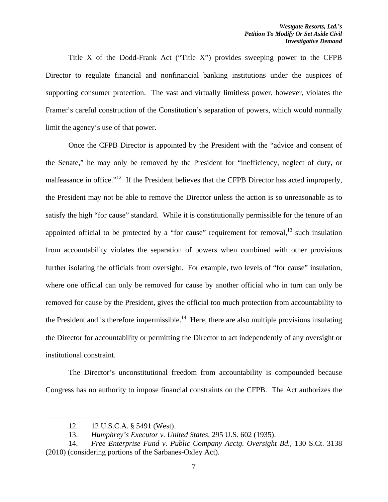Title X of the Dodd-Frank Act ("Title X") provides sweeping power to the CFPB Director to regulate financial and nonfinancial banking institutions under the auspices of supporting consumer protection. The vast and virtually limitless power, however, violates the Framer's careful construction of the Constitution's separation of powers, which would normally limit the agency's use of that power.

Once the CFPB Director is appointed by the President with the "advice and consent of the Senate," he may only be removed by the President for "inefficiency, neglect of duty, or malfeasance in office."<sup>12</sup> If the President believes that the CFPB Director has acted improperly, the President may not be able to remove the Director unless the action is so unreasonable as to satisfy the high "for cause" standard. While it is constitutionally permissible for the tenure of an appointed official to be protected by a "for cause" requirement for removal, $^{13}$  such insulation from accountability violates the separation of powers when combined with other provisions further isolating the officials from oversight. For example, two levels of "for cause" insulation, where one official can only be removed for cause by another official who in turn can only be removed for cause by the President, gives the official too much protection from accountability to the President and is therefore impermissible.<sup>14</sup> Here, there are also multiple provisions insulating the Director for accountability or permitting the Director to act independently of any oversight or institutional constraint.

The Director's unconstitutional freedom from accountability is compounded because Congress has no authority to impose financial constraints on the CFPB. The Act authorizes the

<sup>12. 12</sup> U.S.C.A. § 5491 (West).

<sup>13.</sup> *Humphrey's Executor v. United States,* 295 U.S. 602 (1935).

<sup>14.</sup> *Free Enterprise Fund v. Public Company Acctg. Oversight Bd.,* 130 S.Ct. 3138 (2010) (considering portions of the Sarbanes-Oxley Act).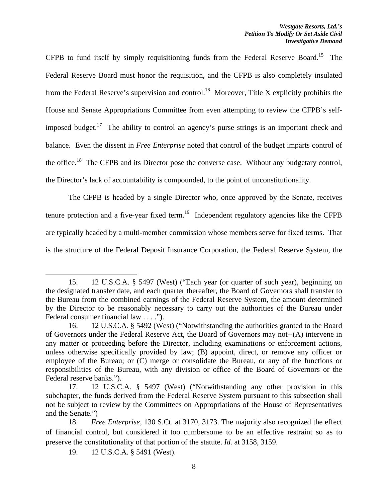CFPB to fund itself by simply requisitioning funds from the Federal Reserve Board.<sup>15</sup> The Federal Reserve Board must honor the requisition, and the CFPB is also completely insulated from the Federal Reserve's supervision and control.<sup>16</sup> Moreover, Title X explicitly prohibits the House and Senate Appropriations Committee from even attempting to review the CFPB's selfimposed budget.<sup>17</sup> The ability to control an agency's purse strings is an important check and balance. Even the dissent in *Free Enterprise* noted that control of the budget imparts control of the office.<sup>18</sup> The CFPB and its Director pose the converse case. Without any budgetary control, the Director's lack of accountability is compounded, to the point of unconstitutionality.

The CFPB is headed by a single Director who, once approved by the Senate, receives tenure protection and a five-year fixed term.<sup>19</sup> Independent regulatory agencies like the CFPB are typically headed by a multi-member commission whose members serve for fixed terms. That is the structure of the Federal Deposit Insurance Corporation, the Federal Reserve System, the

19. 12 U.S.C.A. § 5491 (West).

<sup>15. 12</sup> U.S.C.A. § 5497 (West) ("Each year (or quarter of such year), beginning on the designated transfer date, and each quarter thereafter, the Board of Governors shall transfer to the Bureau from the combined earnings of the Federal Reserve System, the amount determined by the Director to be reasonably necessary to carry out the authorities of the Bureau under Federal consumer financial law . . . .").

<sup>16. 12</sup> U.S.C.A. § 5492 (West) ("Notwithstanding the authorities granted to the Board of Governors under the Federal Reserve Act, the Board of Governors may not--(A) intervene in any matter or proceeding before the Director, including examinations or enforcement actions, unless otherwise specifically provided by law; (B) appoint, direct, or remove any officer or employee of the Bureau; or (C) merge or consolidate the Bureau, or any of the functions or responsibilities of the Bureau, with any division or office of the Board of Governors or the Federal reserve banks.").

<sup>17. 12</sup> U.S.C.A. § 5497 (West) ("Notwithstanding any other provision in this subchapter, the funds derived from the Federal Reserve System pursuant to this subsection shall not be subject to review by the Committees on Appropriations of the House of Representatives and the Senate.")

<sup>18.</sup> *Free Enterprise,* 130 S.Ct. at 3170, 3173. The majority also recognized the effect of financial control, but considered it too cumbersome to be an effective restraint so as to preserve the constitutionality of that portion of the statute. *Id.* at 3158, 3159.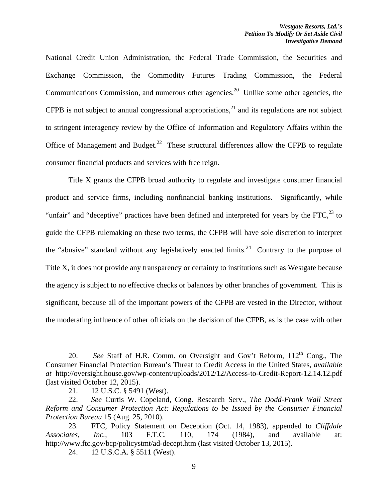National Credit Union Administration, the Federal Trade Commission, the Securities and Exchange Commission, the Commodity Futures Trading Commission, the Federal Communications Commission, and numerous other agencies.<sup>20</sup> Unlike some other agencies, the CFPB is not subject to annual congressional appropriations,<sup>21</sup> and its regulations are not subject to stringent interagency review by the Office of Information and Regulatory Affairs within the Office of Management and Budget.<sup>22</sup> These structural differences allow the CFPB to regulate consumer financial products and services with free reign.

Title X grants the CFPB broad authority to regulate and investigate consumer financial product and service firms, including nonfinancial banking institutions. Significantly, while "unfair" and "deceptive" practices have been defined and interpreted for years by the  $\text{FTC}$ <sup>23</sup> to guide the CFPB rulemaking on these two terms, the CFPB will have sole discretion to interpret the "abusive" standard without any legislatively enacted limits.<sup>24</sup> Contrary to the purpose of Title X, it does not provide any transparency or certainty to institutions such as Westgate because the agency is subject to no effective checks or balances by other branches of government. This is significant, because all of the important powers of the CFPB are vested in the Director, without the moderating influence of other officials on the decision of the CFPB, as is the case with other

<sup>20.</sup> *See* Staff of H.R. Comm. on Oversight and Gov't Reform, 112<sup>th</sup> Cong., The Consumer Financial Protection Bureau's Threat to Credit Access in the United States*, available at* http://oversight.house.gov/wp-content/uploads/2012/12/Access-to-Credit-Report-12.14.12.pdf (last visited October 12, 2015).

<sup>21. 12</sup> U.S.C. § 5491 (West).

<sup>22.</sup> *See* Curtis W. Copeland, Cong. Research Serv., *The Dodd-Frank Wall Street Reform and Consumer Protection Act: Regulations to be Issued by the Consumer Financial Protection Bureau* 15 (Aug. 25, 2010).

<sup>23.</sup> FTC, Policy Statement on Deception (Oct. 14, 1983), appended to *Cliffdale Associates, Inc.*, 103 F.T.C. 110, 174 (1984), and available at: http://www.ftc.gov/bcp/policystmt/ad-decept.htm (last visited October 13, 2015).

<sup>24. 12</sup> U.S.C.A. § 5511 (West).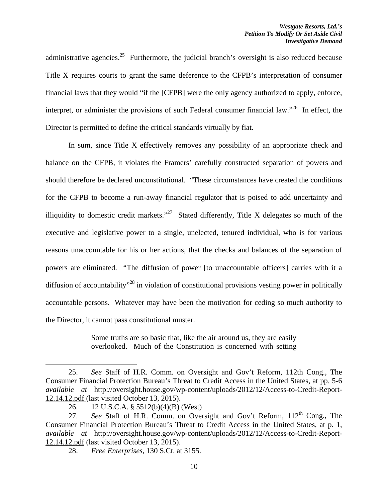administrative agencies.<sup>25</sup> Furthermore, the judicial branch's oversight is also reduced because Title X requires courts to grant the same deference to the CFPB's interpretation of consumer financial laws that they would "if the [CFPB] were the only agency authorized to apply, enforce, interpret, or administer the provisions of such Federal consumer financial law.<sup> $26$ </sup> In effect, the Director is permitted to define the critical standards virtually by fiat.

In sum, since Title X effectively removes any possibility of an appropriate check and balance on the CFPB, it violates the Framers' carefully constructed separation of powers and should therefore be declared unconstitutional. "These circumstances have created the conditions for the CFPB to become a run-away financial regulator that is poised to add uncertainty and illiquidity to domestic credit markets."<sup>27</sup> Stated differently, Title X delegates so much of the executive and legislative power to a single, unelected, tenured individual, who is for various reasons unaccountable for his or her actions, that the checks and balances of the separation of powers are eliminated. "The diffusion of power [to unaccountable officers] carries with it a diffusion of accountability<sup>"28</sup> in violation of constitutional provisions vesting power in politically accountable persons. Whatever may have been the motivation for ceding so much authority to the Director, it cannot pass constitutional muster.

> Some truths are so basic that, like the air around us, they are easily overlooked. Much of the Constitution is concerned with setting

<sup>25.</sup> *See* Staff of H.R. Comm. on Oversight and Gov't Reform, 112th Cong., The Consumer Financial Protection Bureau's Threat to Credit Access in the United States*,* at pp. 5-6 *available at* http://oversight.house.gov/wp-content/uploads/2012/12/Access-to-Credit-Report-12.14.12.pdf (last visited October 13, 2015).

<sup>26. 12</sup> U.S.C.A. § 5512(b)(4)(B) (West)

<sup>27.</sup> *See* Staff of H.R. Comm. on Oversight and Gov't Reform, 112<sup>th</sup> Cong., The Consumer Financial Protection Bureau's Threat to Credit Access in the United States*,* at p. 1, *available at* http://oversight.house.gov/wp-content/uploads/2012/12/Access-to-Credit-Report-12.14.12.pdf (last visited October 13, 2015).

<sup>28.</sup> *Free Enterprises,* 130 S.Ct. at 3155.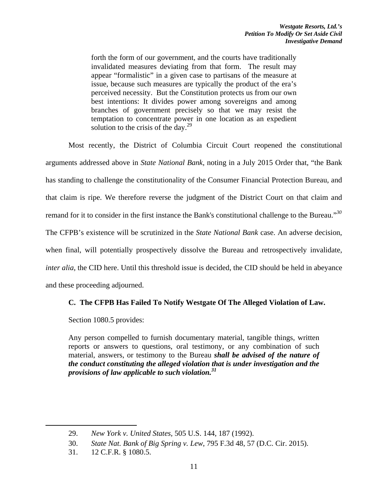forth the form of our government, and the courts have traditionally invalidated measures deviating from that form. The result may appear "formalistic" in a given case to partisans of the measure at issue, because such measures are typically the product of the era's perceived necessity. But the Constitution protects us from our own best intentions: It divides power among sovereigns and among branches of government precisely so that we may resist the temptation to concentrate power in one location as an expedient solution to the crisis of the day. $^{29}$ 

Most recently, the District of Columbia Circuit Court reopened the constitutional arguments addressed above in *State National Bank*, noting in a July 2015 Order that, "the Bank has standing to challenge the constitutionality of the Consumer Financial Protection Bureau, and that claim is ripe. We therefore reverse the judgment of the District Court on that claim and remand for it to consider in the first instance the Bank's constitutional challenge to the Bureau."*<sup>30</sup>* The CFPB's existence will be scrutinized in the *State National Bank* case. An adverse decision, when final, will potentially prospectively dissolve the Bureau and retrospectively invalidate, *inter alia*, the CID here. Until this threshold issue is decided, the CID should be held in abeyance and these proceeding adjourned.

# **C. The CFPB Has Failed To Notify Westgate Of The Alleged Violation of Law.**

Section 1080.5 provides:

Any person compelled to furnish documentary material, tangible things, written reports or answers to questions, oral testimony, or any combination of such material, answers, or testimony to the Bureau *shall be advised of the nature of the conduct constituting the alleged violation that is under investigation and the provisions of law applicable to such violation.31*

<sup>29.</sup> *New York v. United States,* 505 U.S. 144, 187 (1992).

<sup>30.</sup> *State Nat. Bank of Big Spring v. Lew*, 795 F.3d 48, 57 (D.C. Cir. 2015).

<sup>31. 12</sup> C.F.R. § 1080.5.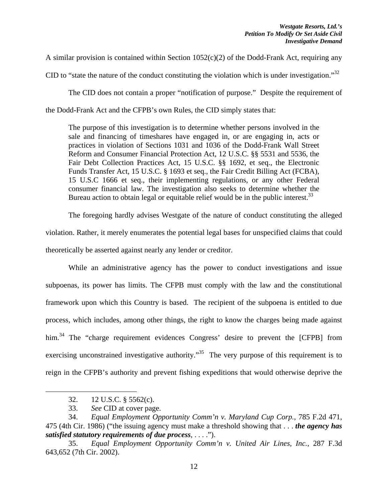A similar provision is contained within Section 1052(c)(2) of the Dodd-Frank Act, requiring any

CID to "state the nature of the conduct constituting the violation which is under investigation."<sup>32</sup>

The CID does not contain a proper "notification of purpose." Despite the requirement of the Dodd-Frank Act and the CFPB's own Rules, the CID simply states that:

The purpose of this investigation is to determine whether persons involved in the sale and financing of timeshares have engaged in, or are engaging in, acts or practices in violation of Sections 1031 and 1036 of the Dodd-Frank Wall Street Reform and Consumer Financial Protection Act, 12 U.S.C. §§ 5531 and 5536, the Fair Debt Collection Practices Act, 15 U.S.C. §§ 1692, et seq., the Electronic Funds Transfer Act, 15 U.S.C. § 1693 et seq., the Fair Credit Billing Act (FCBA), 15 U.S.C 1666 et seq., their implementing regulations, or any other Federal consumer financial law. The investigation also seeks to determine whether the Bureau action to obtain legal or equitable relief would be in the public interest.<sup>33</sup>

The foregoing hardly advises Westgate of the nature of conduct constituting the alleged violation. Rather, it merely enumerates the potential legal bases for unspecified claims that could theoretically be asserted against nearly any lender or creditor.

While an administrative agency has the power to conduct investigations and issue subpoenas, its power has limits. The CFPB must comply with the law and the constitutional framework upon which this Country is based. The recipient of the subpoena is entitled to due process, which includes, among other things, the right to know the charges being made against him.<sup>34</sup> The "charge requirement evidences Congress' desire to prevent the [CFPB] from exercising unconstrained investigative authority.<sup>35</sup> The very purpose of this requirement is to reign in the CFPB's authority and prevent fishing expeditions that would otherwise deprive the

<sup>32. 12</sup> U.S.C. § 5562(c).

<sup>33.</sup> *See* CID at cover page.

<sup>34.</sup> *Equal Employment Opportunity Comm'n v. Maryland Cup Corp.*, 785 F.2d 471, 475 (4th Cir. 1986) ("the issuing agency must make a threshold showing that . . . *the agency has satisfied statutory requirements of due process*, . . . .").

<sup>35.</sup> *Equal Employment Opportunity Comm'n v. United Air Lines, Inc.*, 287 F.3d 643,652 (7th Cir. 2002).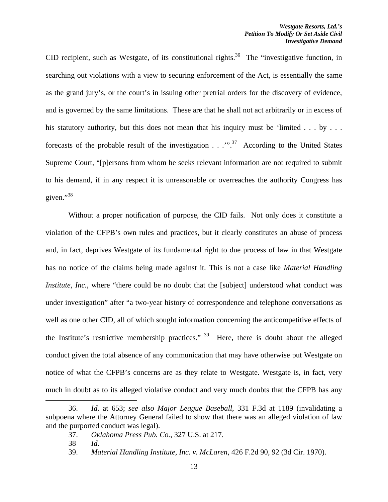CID recipient, such as Westgate, of its constitutional rights.<sup>36</sup> The "investigative function, in searching out violations with a view to securing enforcement of the Act, is essentially the same as the grand jury's, or the court's in issuing other pretrial orders for the discovery of evidence, and is governed by the same limitations. These are that he shall not act arbitrarily or in excess of his statutory authority, but this does not mean that his inquiry must be 'limited  $\dots$  by  $\dots$ forecasts of the probable result of the investigation  $\ldots$ ."<sup>37</sup> According to the United States Supreme Court, "[p]ersons from whom he seeks relevant information are not required to submit to his demand, if in any respect it is unreasonable or overreaches the authority Congress has given."<sup>38</sup>

Without a proper notification of purpose, the CID fails. Not only does it constitute a violation of the CFPB's own rules and practices, but it clearly constitutes an abuse of process and, in fact, deprives Westgate of its fundamental right to due process of law in that Westgate has no notice of the claims being made against it. This is not a case like *Material Handling Institute, Inc.*, where "there could be no doubt that the [subject] understood what conduct was under investigation" after "a two-year history of correspondence and telephone conversations as well as one other CID, all of which sought information concerning the anticompetitive effects of the Institute's restrictive membership practices."  $39$  Here, there is doubt about the alleged conduct given the total absence of any communication that may have otherwise put Westgate on notice of what the CFPB's concerns are as they relate to Westgate. Westgate is, in fact, very much in doubt as to its alleged violative conduct and very much doubts that the CFPB has any

<sup>36.</sup> *Id*. at 653; *see also Major League Baseball*, 331 F.3d at 1189 (invalidating a subpoena where the Attorney General failed to show that there was an alleged violation of law and the purported conduct was legal).

<sup>37.</sup> *Oklahoma Press Pub. Co.*, 327 U.S. at 217.

<sup>38</sup> *Id*.

<sup>39.</sup> *Material Handling Institute, Inc. v. McLaren*, 426 F.2d 90, 92 (3d Cir. 1970).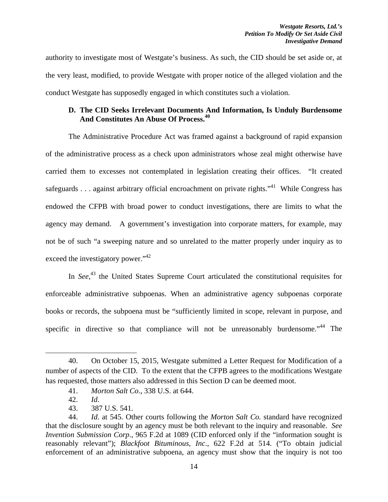authority to investigate most of Westgate's business. As such, the CID should be set aside or, at the very least, modified, to provide Westgate with proper notice of the alleged violation and the conduct Westgate has supposedly engaged in which constitutes such a violation.

# **D. The CID Seeks Irrelevant Documents And Information, Is Unduly Burdensome And Constitutes An Abuse Of Process.40**

 The Administrative Procedure Act was framed against a background of rapid expansion of the administrative process as a check upon administrators whose zeal might otherwise have carried them to excesses not contemplated in legislation creating their offices. "It created safeguards . . . against arbitrary official encroachment on private rights.<sup> $341$ </sup> While Congress has endowed the CFPB with broad power to conduct investigations, there are limits to what the agency may demand. A government's investigation into corporate matters, for example, may not be of such "a sweeping nature and so unrelated to the matter properly under inquiry as to exceed the investigatory power."<sup>42</sup>

In *See*<sup>43</sup>, the United States Supreme Court articulated the constitutional requisites for enforceable administrative subpoenas. When an administrative agency subpoenas corporate books or records, the subpoena must be "sufficiently limited in scope, relevant in purpose, and specific in directive so that compliance will not be unreasonably burdensome.<sup>"44</sup> The

<sup>40.</sup> On October 15, 2015, Westgate submitted a Letter Request for Modification of a number of aspects of the CID. To the extent that the CFPB agrees to the modifications Westgate has requested, those matters also addressed in this Section D can be deemed moot.

<sup>41.</sup> *Morton Salt Co*., 338 U.S. at 644.

<sup>42.</sup> *Id*.

<sup>43. 387</sup> U.S. 541.

<sup>44.</sup> *Id*. at 545. Other courts following the *Morton Salt Co.* standard have recognized that the disclosure sought by an agency must be both relevant to the inquiry and reasonable. *See Invention Submission Corp*., 965 F.2d at 1089 (CID enforced only if the "information sought is reasonably relevant"); *Blackfoot Bituminous, Inc*., 622 F.2d at 514. ("To obtain judicial enforcement of an administrative subpoena, an agency must show that the inquiry is not too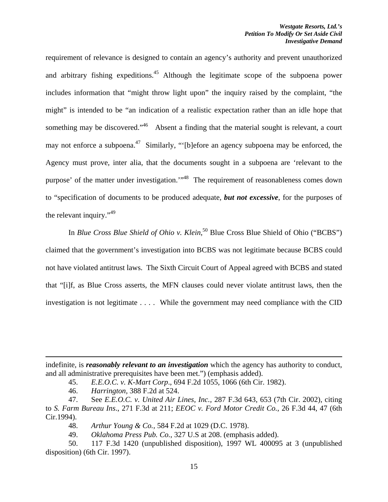requirement of relevance is designed to contain an agency's authority and prevent unauthorized and arbitrary fishing expeditions.<sup>45</sup> Although the legitimate scope of the subpoena power includes information that "might throw light upon" the inquiry raised by the complaint, "the might" is intended to be "an indication of a realistic expectation rather than an idle hope that something may be discovered."<sup>46</sup> Absent a finding that the material sought is relevant, a court may not enforce a subpoena.<sup>47</sup> Similarly, "'[b]efore an agency subpoena may be enforced, the Agency must prove, inter alia, that the documents sought in a subpoena are 'relevant to the purpose' of the matter under investigation.'"48 The requirement of reasonableness comes down to "specification of documents to be produced adequate, *but not excessive*, for the purposes of the relevant inquiry."<sup>49</sup>

In *Blue Cross Blue Shield of Ohio v. Klein*,<sup>50</sup> Blue Cross Blue Shield of Ohio ("BCBS") claimed that the government's investigation into BCBS was not legitimate because BCBS could not have violated antitrust laws. The Sixth Circuit Court of Appeal agreed with BCBS and stated that "[i]f, as Blue Cross asserts, the MFN clauses could never violate antitrust laws, then the investigation is not legitimate . . . . While the government may need compliance with the CID

<u> 1989 - Johann Stein, marwolaethau a gweledydd a ganlad y ganlad y ganlad y ganlad y ganlad y ganlad y ganlad</u>

indefinite, is *reasonably relevant to an investigation* which the agency has authority to conduct, and all administrative prerequisites have been met.") (emphasis added).

<sup>45.</sup> *E.E.O.C. v. K-Mart Corp*., 694 F.2d 1055, 1066 (6th Cir. 1982).

<sup>46.</sup> *Harrington,* 388 F.2d at 524.

<sup>47.</sup> See *E.E.O.C. v. United Air Lines, Inc.,* 287 F.3d 643, 653 (7th Cir. 2002), citing to *S. Farm Bureau Ins*., 271 F.3d at 211; *EEOC v. Ford Motor Credit Co.,* 26 F.3d 44, 47 (6th Cir.1994).

<sup>48.</sup> *Arthur Young & Co.,* 584 F.2d at 1029 (D.C. 1978).

<sup>49.</sup> *Oklahoma Press Pub. Co.*, 327 U.S at 208. (emphasis added).

<sup>50. 117</sup> F.3d 1420 (unpublished disposition), 1997 WL 400095 at 3 (unpublished disposition) (6th Cir. 1997).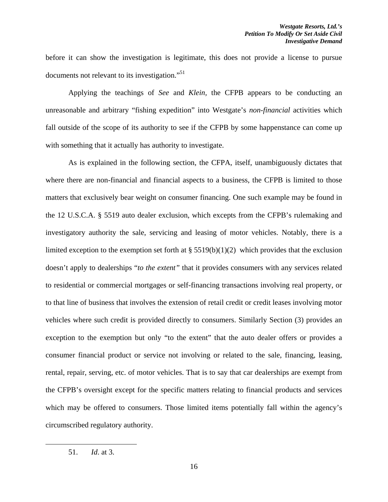before it can show the investigation is legitimate, this does not provide a license to pursue documents not relevant to its investigation."<sup>51</sup>

 Applying the teachings of *See* and *Klein,* the CFPB appears to be conducting an unreasonable and arbitrary "fishing expedition" into Westgate's *non-financial* activities which fall outside of the scope of its authority to see if the CFPB by some happenstance can come up with something that it actually has authority to investigate.

 As is explained in the following section, the CFPA, itself, unambiguously dictates that where there are non-financial and financial aspects to a business, the CFPB is limited to those matters that exclusively bear weight on consumer financing. One such example may be found in the 12 U.S.C.A. § 5519 auto dealer exclusion, which excepts from the CFPB's rulemaking and investigatory authority the sale, servicing and leasing of motor vehicles. Notably, there is a limited exception to the exemption set forth at  $\S 5519(b)(1)(2)$  which provides that the exclusion doesn't apply to dealerships "*to the extent"* that it provides consumers with any services related to residential or commercial mortgages or self-financing transactions involving real property, or to that line of business that involves the extension of retail credit or credit leases involving motor vehicles where such credit is provided directly to consumers. Similarly Section (3) provides an exception to the exemption but only "to the extent" that the auto dealer offers or provides a consumer financial product or service not involving or related to the sale, financing, leasing, rental, repair, serving, etc. of motor vehicles. That is to say that car dealerships are exempt from the CFPB's oversight except for the specific matters relating to financial products and services which may be offered to consumers. Those limited items potentially fall within the agency's circumscribed regulatory authority.

 51. *Id*. at 3.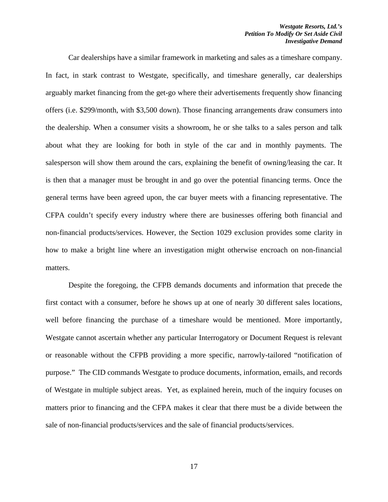Car dealerships have a similar framework in marketing and sales as a timeshare company. In fact, in stark contrast to Westgate, specifically, and timeshare generally, car dealerships arguably market financing from the get-go where their advertisements frequently show financing offers (i.e. \$299/month, with \$3,500 down). Those financing arrangements draw consumers into the dealership. When a consumer visits a showroom, he or she talks to a sales person and talk about what they are looking for both in style of the car and in monthly payments. The salesperson will show them around the cars, explaining the benefit of owning/leasing the car. It is then that a manager must be brought in and go over the potential financing terms. Once the general terms have been agreed upon, the car buyer meets with a financing representative. The CFPA couldn't specify every industry where there are businesses offering both financial and non-financial products/services. However, the Section 1029 exclusion provides some clarity in how to make a bright line where an investigation might otherwise encroach on non-financial matters.

 Despite the foregoing, the CFPB demands documents and information that precede the first contact with a consumer, before he shows up at one of nearly 30 different sales locations, well before financing the purchase of a timeshare would be mentioned. More importantly, Westgate cannot ascertain whether any particular Interrogatory or Document Request is relevant or reasonable without the CFPB providing a more specific, narrowly-tailored "notification of purpose." The CID commands Westgate to produce documents, information, emails, and records of Westgate in multiple subject areas. Yet, as explained herein, much of the inquiry focuses on matters prior to financing and the CFPA makes it clear that there must be a divide between the sale of non-financial products/services and the sale of financial products/services.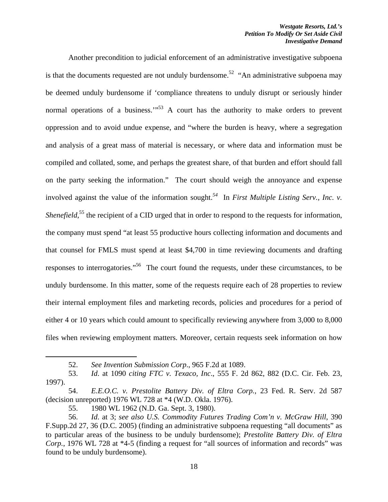Another precondition to judicial enforcement of an administrative investigative subpoena is that the documents requested are not unduly burdensome.<sup>52</sup> "An administrative subpoena may be deemed unduly burdensome if 'compliance threatens to unduly disrupt or seriously hinder normal operations of a business. $10^{53}$  A court has the authority to make orders to prevent oppression and to avoid undue expense, and "where the burden is heavy, where a segregation and analysis of a great mass of material is necessary, or where data and information must be compiled and collated, some, and perhaps the greatest share, of that burden and effort should fall on the party seeking the information." The court should weigh the annoyance and expense involved against the value of the information sought.*<sup>54</sup>* In *First Multiple Listing Serv., Inc. v. Shenefield*,<sup>55</sup> the recipient of a CID urged that in order to respond to the requests for information, the company must spend "at least 55 productive hours collecting information and documents and that counsel for FMLS must spend at least \$4,700 in time reviewing documents and drafting responses to interrogatories."56 The court found the requests, under these circumstances, to be unduly burdensome. In this matter, some of the requests require each of 28 properties to review their internal employment files and marketing records, policies and procedures for a period of either 4 or 10 years which could amount to specifically reviewing anywhere from 3,000 to 8,000 files when reviewing employment matters. Moreover, certain requests seek information on how

<sup>52.</sup> *See Invention Submission Corp*., 965 F.2d at 1089.

<sup>53.</sup> *Id*. at 1090 *citing FTC v. Texaco, Inc*., 555 F. 2d 862, 882 (D.C. Cir. Feb. 23, 1997).

<sup>54.</sup> *E.E.O.C. v. Prestolite Battery Div. of Eltra Corp.*, 23 Fed. R. Serv. 2d 587 (decision unreported) 1976 WL 728 at \*4 (W.D. Okla. 1976).

<sup>55. 1980</sup> WL 1962 (N.D. Ga. Sept. 3, 1980).

<sup>56.</sup> *Id*. at 3; *see also U.S. Commodity Futures Trading Com'n v. McGraw Hill*, 390 F.Supp.2d 27, 36 (D.C. 2005) (finding an administrative subpoena requesting "all documents" as to particular areas of the business to be unduly burdensome); *Prestolite Battery Div. of Eltra Corp.*, 1976 WL 728 at \*4-5 (finding a request for "all sources of information and records" was found to be unduly burdensome).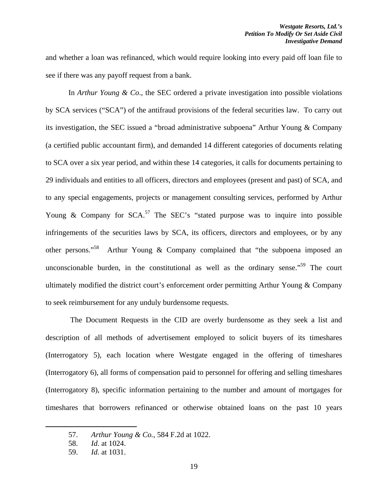and whether a loan was refinanced, which would require looking into every paid off loan file to see if there was any payoff request from a bank.

 In *Arthur Young & Co*., the SEC ordered a private investigation into possible violations by SCA services ("SCA") of the antifraud provisions of the federal securities law. To carry out its investigation, the SEC issued a "broad administrative subpoena" Arthur Young & Company (a certified public accountant firm), and demanded 14 different categories of documents relating to SCA over a six year period, and within these 14 categories, it calls for documents pertaining to 29 individuals and entities to all officers, directors and employees (present and past) of SCA, and to any special engagements, projects or management consulting services, performed by Arthur Young & Company for  $SCA$ <sup>57</sup>. The SEC's "stated purpose was to inquire into possible infringements of the securities laws by SCA, its officers, directors and employees, or by any other persons."<sup>58</sup> Arthur Young & Company complained that "the subpoena imposed an unconscionable burden, in the constitutional as well as the ordinary sense."<sup>59</sup> The court ultimately modified the district court's enforcement order permitting Arthur Young & Company to seek reimbursement for any unduly burdensome requests.

 The Document Requests in the CID are overly burdensome as they seek a list and description of all methods of advertisement employed to solicit buyers of its timeshares (Interrogatory 5), each location where Westgate engaged in the offering of timeshares (Interrogatory 6), all forms of compensation paid to personnel for offering and selling timeshares (Interrogatory 8), specific information pertaining to the number and amount of mortgages for timeshares that borrowers refinanced or otherwise obtained loans on the past 10 years

<sup>57.</sup> *Arthur Young & Co.*, 584 F.2d at 1022.

<sup>58.</sup> *Id*. at 1024.

<sup>59.</sup> *Id*. at 1031.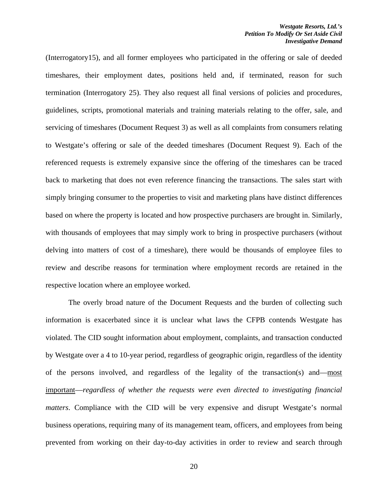(Interrogatory15), and all former employees who participated in the offering or sale of deeded timeshares, their employment dates, positions held and, if terminated, reason for such termination (Interrogatory 25). They also request all final versions of policies and procedures, guidelines, scripts, promotional materials and training materials relating to the offer, sale, and servicing of timeshares (Document Request 3) as well as all complaints from consumers relating to Westgate's offering or sale of the deeded timeshares (Document Request 9). Each of the referenced requests is extremely expansive since the offering of the timeshares can be traced back to marketing that does not even reference financing the transactions. The sales start with simply bringing consumer to the properties to visit and marketing plans have distinct differences based on where the property is located and how prospective purchasers are brought in. Similarly, with thousands of employees that may simply work to bring in prospective purchasers (without delving into matters of cost of a timeshare), there would be thousands of employee files to review and describe reasons for termination where employment records are retained in the respective location where an employee worked.

The overly broad nature of the Document Requests and the burden of collecting such information is exacerbated since it is unclear what laws the CFPB contends Westgate has violated. The CID sought information about employment, complaints, and transaction conducted by Westgate over a 4 to 10-year period, regardless of geographic origin, regardless of the identity of the persons involved, and regardless of the legality of the transaction(s) and—most important—*regardless of whether the requests were even directed to investigating financial matters*. Compliance with the CID will be very expensive and disrupt Westgate's normal business operations, requiring many of its management team, officers, and employees from being prevented from working on their day-to-day activities in order to review and search through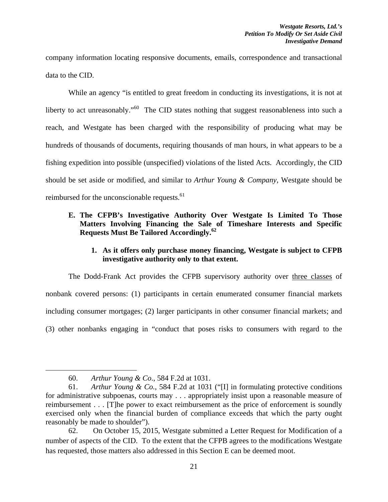company information locating responsive documents, emails, correspondence and transactional data to the CID.

 While an agency "is entitled to great freedom in conducting its investigations, it is not at liberty to act unreasonably."<sup>60</sup> The CID states nothing that suggest reasonableness into such a reach, and Westgate has been charged with the responsibility of producing what may be hundreds of thousands of documents, requiring thousands of man hours, in what appears to be a fishing expedition into possible (unspecified) violations of the listed Acts. Accordingly, the CID should be set aside or modified, and similar to *Arthur Young & Company*, Westgate should be reimbursed for the unconscionable requests.<sup>61</sup>

# **E. The CFPB's Investigative Authority Over Westgate Is Limited To Those Matters Involving Financing the Sale of Timeshare Interests and Specific Requests Must Be Tailored Accordingly.62**

# **1. As it offers only purchase money financing, Westgate is subject to CFPB investigative authority only to that extent.**

The Dodd-Frank Act provides the CFPB supervisory authority over three classes of nonbank covered persons: (1) participants in certain enumerated consumer financial markets including consumer mortgages; (2) larger participants in other consumer financial markets; and (3) other nonbanks engaging in "conduct that poses risks to consumers with regard to the

<sup>60.</sup> *Arthur Young & Co*., 584 F.2d at 1031.

<sup>61.</sup> *Arthur Young & Co.*, 584 F.2d at 1031 ("[I] in formulating protective conditions for administrative subpoenas, courts may . . . appropriately insist upon a reasonable measure of reimbursement . . . [T]he power to exact reimbursement as the price of enforcement is soundly exercised only when the financial burden of compliance exceeds that which the party ought reasonably be made to shoulder").

<sup>62.</sup> On October 15, 2015, Westgate submitted a Letter Request for Modification of a number of aspects of the CID. To the extent that the CFPB agrees to the modifications Westgate has requested, those matters also addressed in this Section E can be deemed moot.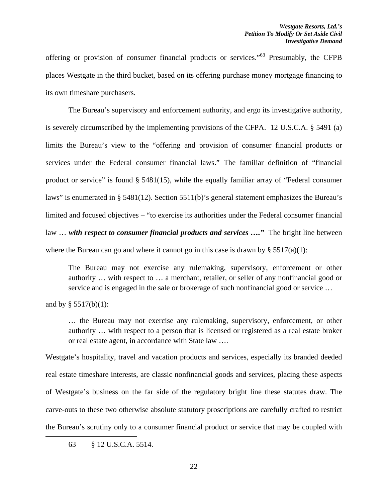offering or provision of consumer financial products or services."63 Presumably, the CFPB places Westgate in the third bucket, based on its offering purchase money mortgage financing to its own timeshare purchasers.

The Bureau's supervisory and enforcement authority, and ergo its investigative authority, is severely circumscribed by the implementing provisions of the CFPA. 12 U.S.C.A. § 5491 (a) limits the Bureau's view to the "offering and provision of consumer financial products or services under the Federal consumer financial laws." The familiar definition of "financial product or service" is found § 5481(15), while the equally familiar array of "Federal consumer laws" is enumerated in § 5481(12). Section 5511(b)'s general statement emphasizes the Bureau's limited and focused objectives – "to exercise its authorities under the Federal consumer financial law ... with respect to consumer financial products and services ...." The bright line between where the Bureau can go and where it cannot go in this case is drawn by  $\S 5517(a)(1)$ :

The Bureau may not exercise any rulemaking, supervisory, enforcement or other authority … with respect to … a merchant, retailer, or seller of any nonfinancial good or service and is engaged in the sale or brokerage of such nonfinancial good or service …

and by  $§$  5517(b)(1):

… the Bureau may not exercise any rulemaking, supervisory, enforcement, or other authority … with respect to a person that is licensed or registered as a real estate broker or real estate agent, in accordance with State law ….

Westgate's hospitality, travel and vacation products and services, especially its branded deeded real estate timeshare interests, are classic nonfinancial goods and services, placing these aspects of Westgate's business on the far side of the regulatory bright line these statutes draw. The carve-outs to these two otherwise absolute statutory proscriptions are carefully crafted to restrict the Bureau's scrutiny only to a consumer financial product or service that may be coupled with

<sup>63 § 12</sup> U.S.C.A. 5514.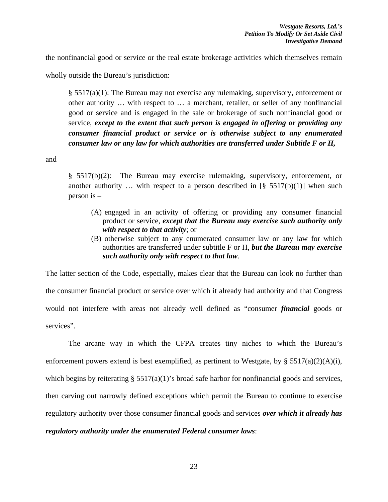the nonfinancial good or service or the real estate brokerage activities which themselves remain

wholly outside the Bureau's jurisdiction:

§ 5517(a)(1): The Bureau may not exercise any rulemaking, supervisory, enforcement or other authority … with respect to … a merchant, retailer, or seller of any nonfinancial good or service and is engaged in the sale or brokerage of such nonfinancial good or service, *except to the extent that such person is engaged in offering or providing any consumer financial product or service or is otherwise subject to any enumerated consumer law or any law for which authorities are transferred under Subtitle F or H,* 

and

§ 5517(b)(2): The Bureau may exercise rulemaking, supervisory, enforcement, or another authority ... with respect to a person described in  $\left[\frac{8}{5517(b)(1)}\right]$  when such person is –

- (A) engaged in an activity of offering or providing any consumer financial product or service, *except that the Bureau may exercise such authority only with respect to that activity*; or
- (B) otherwise subject to any enumerated consumer law or any law for which authorities are transferred under subtitle F or H, *but the Bureau may exercise such authority only with respect to that law*.

The latter section of the Code, especially, makes clear that the Bureau can look no further than the consumer financial product or service over which it already had authority and that Congress would not interfere with areas not already well defined as "consumer *financial* goods or services".

The arcane way in which the CFPA creates tiny niches to which the Bureau's enforcement powers extend is best exemplified, as pertinent to Westgate, by § 5517(a)(2)(A)(i), which begins by reiterating § 5517(a)(1)'s broad safe harbor for nonfinancial goods and services, then carving out narrowly defined exceptions which permit the Bureau to continue to exercise regulatory authority over those consumer financial goods and services *over which it already has regulatory authority under the enumerated Federal consumer laws*: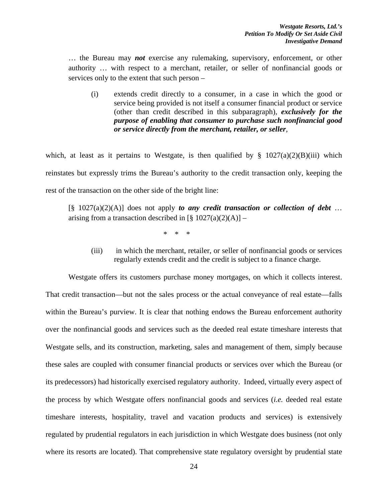… the Bureau may *not* exercise any rulemaking, supervisory, enforcement, or other authority … with respect to a merchant, retailer, or seller of nonfinancial goods or services only to the extent that such person –

(i) extends credit directly to a consumer, in a case in which the good or service being provided is not itself a consumer financial product or service (other than credit described in this subparagraph), *exclusively for the purpose of enabling that consumer to purchase such nonfinancial good or service directly from the merchant, retailer, or seller*,

which, at least as it pertains to Westgate, is then qualified by  $\S$  1027(a)(2)(B)(iii) which reinstates but expressly trims the Bureau's authority to the credit transaction only, keeping the rest of the transaction on the other side of the bright line:

 $[\S \ 1027(a)(2)(A)]$  does not apply *to any credit transaction or collection of debt* ... arising from a transaction described in  $[\S 1027(a)(2)(A)] -$ 

 $\begin{array}{ccc} \ast & \ast & \ast \end{array}$ 

(iii) in which the merchant, retailer, or seller of nonfinancial goods or services regularly extends credit and the credit is subject to a finance charge.

Westgate offers its customers purchase money mortgages, on which it collects interest. That credit transaction—but not the sales process or the actual conveyance of real estate—falls within the Bureau's purview. It is clear that nothing endows the Bureau enforcement authority over the nonfinancial goods and services such as the deeded real estate timeshare interests that Westgate sells, and its construction, marketing, sales and management of them, simply because these sales are coupled with consumer financial products or services over which the Bureau (or its predecessors) had historically exercised regulatory authority. Indeed, virtually every aspect of the process by which Westgate offers nonfinancial goods and services (*i.e.* deeded real estate timeshare interests, hospitality, travel and vacation products and services) is extensively regulated by prudential regulators in each jurisdiction in which Westgate does business (not only where its resorts are located). That comprehensive state regulatory oversight by prudential state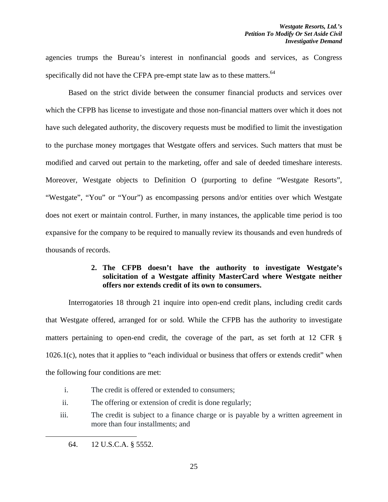agencies trumps the Bureau's interest in nonfinancial goods and services, as Congress specifically did not have the CFPA pre-empt state law as to these matters. $64$ 

 Based on the strict divide between the consumer financial products and services over which the CFPB has license to investigate and those non-financial matters over which it does not have such delegated authority, the discovery requests must be modified to limit the investigation to the purchase money mortgages that Westgate offers and services. Such matters that must be modified and carved out pertain to the marketing, offer and sale of deeded timeshare interests. Moreover, Westgate objects to Definition O (purporting to define "Westgate Resorts", "Westgate", "You" or "Your") as encompassing persons and/or entities over which Westgate does not exert or maintain control. Further, in many instances, the applicable time period is too expansive for the company to be required to manually review its thousands and even hundreds of thousands of records.

# **2. The CFPB doesn't have the authority to investigate Westgate's solicitation of a Westgate affinity MasterCard where Westgate neither offers nor extends credit of its own to consumers.**

Interrogatories 18 through 21 inquire into open-end credit plans, including credit cards that Westgate offered, arranged for or sold. While the CFPB has the authority to investigate matters pertaining to open-end credit, the coverage of the part, as set forth at 12 CFR § 1026.1(c), notes that it applies to "each individual or business that offers or extends credit" when the following four conditions are met:

- i. The credit is offered or extended to consumers;
- ii. The offering or extension of credit is done regularly;
- iii. The credit is subject to a finance charge or is payable by a written agreement in more than four installments; and

 64. 12 U.S.C.A. § 5552.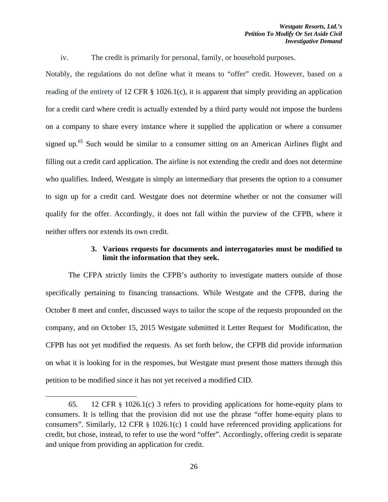iv. The credit is primarily for personal, family, or household purposes.

Notably, the regulations do not define what it means to "offer" credit. However, based on a reading of the entirety of 12 CFR  $\S$  1026.1(c), it is apparent that simply providing an application for a credit card where credit is actually extended by a third party would not impose the burdens on a company to share every instance where it supplied the application or where a consumer signed up.<sup>65</sup> Such would be similar to a consumer sitting on an American Airlines flight and filling out a credit card application. The airline is not extending the credit and does not determine who qualifies. Indeed, Westgate is simply an intermediary that presents the option to a consumer to sign up for a credit card. Westgate does not determine whether or not the consumer will qualify for the offer. Accordingly, it does not fall within the purview of the CFPB, where it neither offers nor extends its own credit.

## **3. Various requests for documents and interrogatories must be modified to limit the information that they seek.**

The CFPA strictly limits the CFPB's authority to investigate matters outside of those specifically pertaining to financing transactions. While Westgate and the CFPB, during the October 8 meet and confer, discussed ways to tailor the scope of the requests propounded on the company, and on October 15, 2015 Westgate submitted it Letter Request for Modification, the CFPB has not yet modified the requests. As set forth below, the CFPB did provide information on what it is looking for in the responses, but Westgate must present those matters through this petition to be modified since it has not yet received a modified CID.

<sup>65. 12</sup> CFR § 1026.1(c) 3 refers to providing applications for home-equity plans to consumers. It is telling that the provision did not use the phrase "offer home-equity plans to consumers". Similarly, 12 CFR § 1026.1(c) 1 could have referenced providing applications for credit, but chose, instead, to refer to use the word "offer". Accordingly, offering credit is separate and unique from providing an application for credit.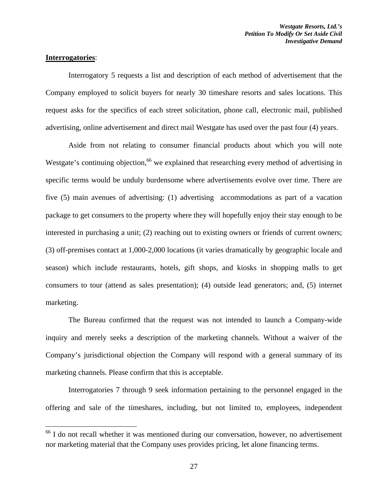### **Interrogatories**:

Interrogatory 5 requests a list and description of each method of advertisement that the Company employed to solicit buyers for nearly 30 timeshare resorts and sales locations. This request asks for the specifics of each street solicitation, phone call, electronic mail, published advertising, online advertisement and direct mail Westgate has used over the past four (4) years.

Aside from not relating to consumer financial products about which you will note Westgate's continuing objection,<sup>66</sup> we explained that researching every method of advertising in specific terms would be unduly burdensome where advertisements evolve over time. There are five (5) main avenues of advertising: (1) advertising accommodations as part of a vacation package to get consumers to the property where they will hopefully enjoy their stay enough to be interested in purchasing a unit; (2) reaching out to existing owners or friends of current owners; (3) off-premises contact at 1,000-2,000 locations (it varies dramatically by geographic locale and season) which include restaurants, hotels, gift shops, and kiosks in shopping malls to get consumers to tour (attend as sales presentation); (4) outside lead generators; and, (5) internet marketing.

The Bureau confirmed that the request was not intended to launch a Company-wide inquiry and merely seeks a description of the marketing channels. Without a waiver of the Company's jurisdictional objection the Company will respond with a general summary of its marketing channels. Please confirm that this is acceptable.

Interrogatories 7 through 9 seek information pertaining to the personnel engaged in the offering and sale of the timeshares, including, but not limited to, employees, independent

 $66$  I do not recall whether it was mentioned during our conversation, however, no advertisement nor marketing material that the Company uses provides pricing, let alone financing terms.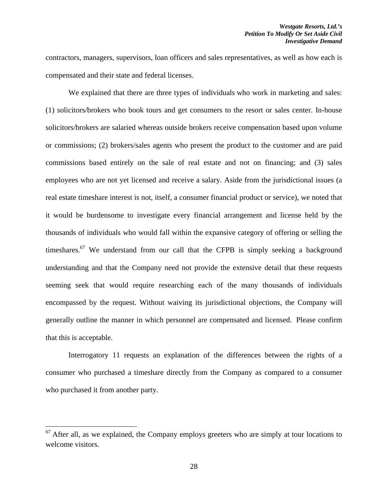contractors, managers, supervisors, loan officers and sales representatives, as well as how each is compensated and their state and federal licenses.

We explained that there are three types of individuals who work in marketing and sales: (1) solicitors/brokers who book tours and get consumers to the resort or sales center. In-house solicitors/brokers are salaried whereas outside brokers receive compensation based upon volume or commissions; (2) brokers/sales agents who present the product to the customer and are paid commissions based entirely on the sale of real estate and not on financing; and (3) sales employees who are not yet licensed and receive a salary. Aside from the jurisdictional issues (a real estate timeshare interest is not, itself, a consumer financial product or service), we noted that it would be burdensome to investigate every financial arrangement and license held by the thousands of individuals who would fall within the expansive category of offering or selling the timeshares.<sup>67</sup> We understand from our call that the CFPB is simply seeking a background understanding and that the Company need not provide the extensive detail that these requests seeming seek that would require researching each of the many thousands of individuals encompassed by the request. Without waiving its jurisdictional objections, the Company will generally outline the manner in which personnel are compensated and licensed. Please confirm that this is acceptable.

Interrogatory 11 requests an explanation of the differences between the rights of a consumer who purchased a timeshare directly from the Company as compared to a consumer who purchased it from another party.

 $67$  After all, as we explained, the Company employs greeters who are simply at tour locations to welcome visitors.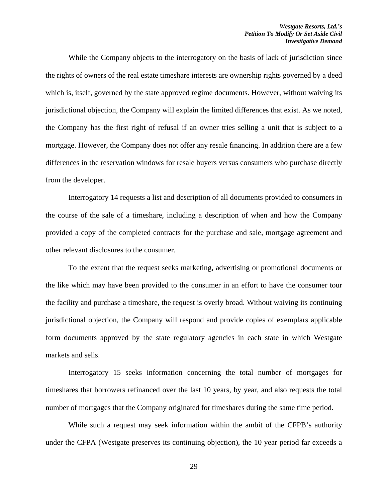While the Company objects to the interrogatory on the basis of lack of jurisdiction since the rights of owners of the real estate timeshare interests are ownership rights governed by a deed which is, itself, governed by the state approved regime documents. However, without waiving its jurisdictional objection, the Company will explain the limited differences that exist. As we noted, the Company has the first right of refusal if an owner tries selling a unit that is subject to a mortgage. However, the Company does not offer any resale financing. In addition there are a few differences in the reservation windows for resale buyers versus consumers who purchase directly from the developer.

Interrogatory 14 requests a list and description of all documents provided to consumers in the course of the sale of a timeshare, including a description of when and how the Company provided a copy of the completed contracts for the purchase and sale, mortgage agreement and other relevant disclosures to the consumer.

To the extent that the request seeks marketing, advertising or promotional documents or the like which may have been provided to the consumer in an effort to have the consumer tour the facility and purchase a timeshare, the request is overly broad. Without waiving its continuing jurisdictional objection, the Company will respond and provide copies of exemplars applicable form documents approved by the state regulatory agencies in each state in which Westgate markets and sells.

Interrogatory 15 seeks information concerning the total number of mortgages for timeshares that borrowers refinanced over the last 10 years, by year, and also requests the total number of mortgages that the Company originated for timeshares during the same time period.

While such a request may seek information within the ambit of the CFPB's authority under the CFPA (Westgate preserves its continuing objection), the 10 year period far exceeds a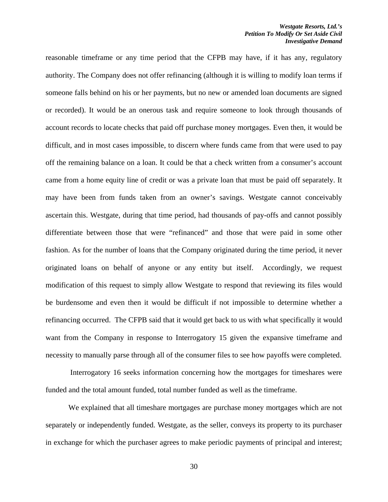reasonable timeframe or any time period that the CFPB may have, if it has any, regulatory authority. The Company does not offer refinancing (although it is willing to modify loan terms if someone falls behind on his or her payments, but no new or amended loan documents are signed or recorded). It would be an onerous task and require someone to look through thousands of account records to locate checks that paid off purchase money mortgages. Even then, it would be difficult, and in most cases impossible, to discern where funds came from that were used to pay off the remaining balance on a loan. It could be that a check written from a consumer's account came from a home equity line of credit or was a private loan that must be paid off separately. It may have been from funds taken from an owner's savings. Westgate cannot conceivably ascertain this. Westgate, during that time period, had thousands of pay-offs and cannot possibly differentiate between those that were "refinanced" and those that were paid in some other fashion. As for the number of loans that the Company originated during the time period, it never originated loans on behalf of anyone or any entity but itself. Accordingly, we request modification of this request to simply allow Westgate to respond that reviewing its files would be burdensome and even then it would be difficult if not impossible to determine whether a refinancing occurred. The CFPB said that it would get back to us with what specifically it would want from the Company in response to Interrogatory 15 given the expansive timeframe and necessity to manually parse through all of the consumer files to see how payoffs were completed.

 Interrogatory 16 seeks information concerning how the mortgages for timeshares were funded and the total amount funded, total number funded as well as the timeframe.

We explained that all timeshare mortgages are purchase money mortgages which are not separately or independently funded. Westgate, as the seller, conveys its property to its purchaser in exchange for which the purchaser agrees to make periodic payments of principal and interest;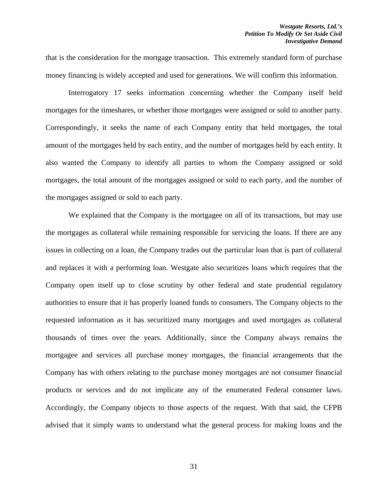that is the consideration for the mortgage transaction. This extremely standard form of purchase money financing is widely accepted and used for generations. We will confirm this information.

Interrogatory 17 seeks information concerning whether the Company itself held mortgages for the timeshares, or whether those mortgages were assigned or sold to another party. Correspondingly, it seeks the name of each Company entity that held mortgages, the total amount of the mortgages held by each entity, and the number of mortgages held by each entity. It also wanted the Company to identify all parties to whom the Company assigned or sold mortgages, the total amount of the mortgages assigned or sold to each party, and the number of the mortgages assigned or sold to each party.

We explained that the Company is the mortgagee on all of its transactions, but may use the mortgages as collateral while remaining responsible for servicing the loans. If there are any issues in collecting on a loan, the Company trades out the particular loan that is part of collateral and replaces it with a performing loan. Westgate also securitizes loans which requires that the Company open itself up to close scrutiny by other federal and state prudential regulatory authorities to ensure that it has properly loaned funds to consumers. The Company objects to the requested information as it has securitized many mortgages and used mortgages as collateral thousands of times over the years. Additionally, since the Company always remains the mortgagee and services all purchase money mortgages, the financial arrangements that the Company has with others relating to the purchase money mortgages are not consumer financial products or services and do not implicate any of the enumerated Federal consumer laws. Accordingly, the Company objects to those aspects of the request. With that said, the CFPB advised that it simply wants to understand what the general process for making loans and the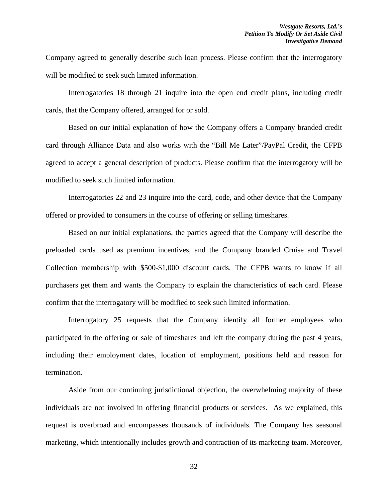Company agreed to generally describe such loan process. Please confirm that the interrogatory will be modified to seek such limited information.

Interrogatories 18 through 21 inquire into the open end credit plans, including credit cards, that the Company offered, arranged for or sold.

Based on our initial explanation of how the Company offers a Company branded credit card through Alliance Data and also works with the "Bill Me Later"/PayPal Credit, the CFPB agreed to accept a general description of products. Please confirm that the interrogatory will be modified to seek such limited information.

Interrogatories 22 and 23 inquire into the card, code, and other device that the Company offered or provided to consumers in the course of offering or selling timeshares.

Based on our initial explanations, the parties agreed that the Company will describe the preloaded cards used as premium incentives, and the Company branded Cruise and Travel Collection membership with \$500-\$1,000 discount cards. The CFPB wants to know if all purchasers get them and wants the Company to explain the characteristics of each card. Please confirm that the interrogatory will be modified to seek such limited information.

Interrogatory 25 requests that the Company identify all former employees who participated in the offering or sale of timeshares and left the company during the past 4 years, including their employment dates, location of employment, positions held and reason for termination.

Aside from our continuing jurisdictional objection, the overwhelming majority of these individuals are not involved in offering financial products or services. As we explained, this request is overbroad and encompasses thousands of individuals. The Company has seasonal marketing, which intentionally includes growth and contraction of its marketing team. Moreover,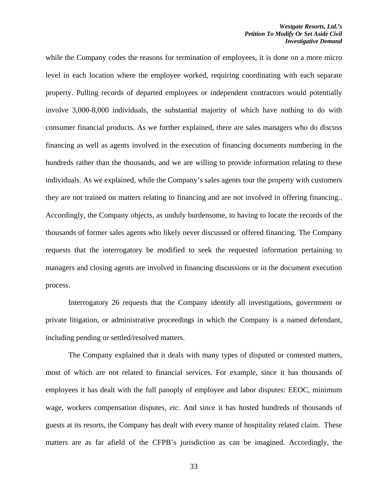while the Company codes the reasons for termination of employees, it is done on a more micro level in each location where the employee worked, requiring coordinating with each separate property. Pulling records of departed employees or independent contractors would potentially involve 3,000-8,000 individuals, the substantial majority of which have nothing to do with consumer financial products. As we further explained, there are sales managers who do discuss financing as well as agents involved in the execution of financing documents numbering in the hundreds rather than the thousands, and we are willing to provide information relating to these individuals. As we explained, while the Company's sales agents tour the property with customers they are not trained on matters relating to financing and are not involved in offering financing.. Accordingly, the Company objects, as unduly burdensome, to having to locate the records of the thousands of former sales agents who likely never discussed or offered financing. The Company requests that the interrogatory be modified to seek the requested information pertaining to managers and closing agents are involved in financing discussions or in the document execution process.

Interrogatory 26 requests that the Company identify all investigations, government or private litigation, or administrative proceedings in which the Company is a named defendant, including pending or settled/resolved matters.

The Company explained that it deals with many types of disputed or contested matters, most of which are not related to financial services. For example, since it has thousands of employees it has dealt with the full panoply of employee and labor disputes: EEOC, minimum wage, workers compensation disputes, *etc.* And since it has hosted hundreds of thousands of guests at its resorts, the Company has dealt with every manor of hospitality related claim. These matters are as far afield of the CFPB's jurisdiction as can be imagined. Accordingly, the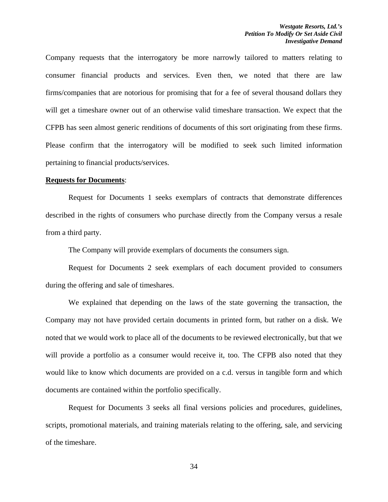Company requests that the interrogatory be more narrowly tailored to matters relating to consumer financial products and services. Even then, we noted that there are law firms/companies that are notorious for promising that for a fee of several thousand dollars they will get a timeshare owner out of an otherwise valid timeshare transaction. We expect that the CFPB has seen almost generic renditions of documents of this sort originating from these firms. Please confirm that the interrogatory will be modified to seek such limited information pertaining to financial products/services.

#### **Requests for Documents**:

Request for Documents 1 seeks exemplars of contracts that demonstrate differences described in the rights of consumers who purchase directly from the Company versus a resale from a third party.

The Company will provide exemplars of documents the consumers sign.

Request for Documents 2 seek exemplars of each document provided to consumers during the offering and sale of timeshares.

We explained that depending on the laws of the state governing the transaction, the Company may not have provided certain documents in printed form, but rather on a disk. We noted that we would work to place all of the documents to be reviewed electronically, but that we will provide a portfolio as a consumer would receive it, too. The CFPB also noted that they would like to know which documents are provided on a c.d. versus in tangible form and which documents are contained within the portfolio specifically.

Request for Documents 3 seeks all final versions policies and procedures, guidelines, scripts, promotional materials, and training materials relating to the offering, sale, and servicing of the timeshare.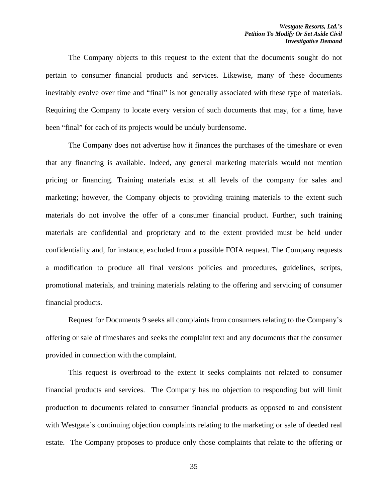The Company objects to this request to the extent that the documents sought do not pertain to consumer financial products and services. Likewise, many of these documents inevitably evolve over time and "final" is not generally associated with these type of materials. Requiring the Company to locate every version of such documents that may, for a time, have been "final" for each of its projects would be unduly burdensome.

The Company does not advertise how it finances the purchases of the timeshare or even that any financing is available. Indeed, any general marketing materials would not mention pricing or financing. Training materials exist at all levels of the company for sales and marketing; however, the Company objects to providing training materials to the extent such materials do not involve the offer of a consumer financial product. Further, such training materials are confidential and proprietary and to the extent provided must be held under confidentiality and, for instance, excluded from a possible FOIA request. The Company requests a modification to produce all final versions policies and procedures, guidelines, scripts, promotional materials, and training materials relating to the offering and servicing of consumer financial products.

Request for Documents 9 seeks all complaints from consumers relating to the Company's offering or sale of timeshares and seeks the complaint text and any documents that the consumer provided in connection with the complaint.

This request is overbroad to the extent it seeks complaints not related to consumer financial products and services. The Company has no objection to responding but will limit production to documents related to consumer financial products as opposed to and consistent with Westgate's continuing objection complaints relating to the marketing or sale of deeded real estate. The Company proposes to produce only those complaints that relate to the offering or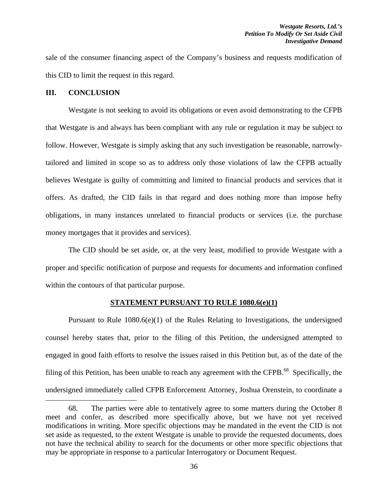sale of the consumer financing aspect of the Company's business and requests modification of this CID to limit the request in this regard.

#### **III. CONCLUSION**

Westgate is not seeking to avoid its obligations or even avoid demonstrating to the CFPB that Westgate is and always has been compliant with any rule or regulation it may be subject to follow. However, Westgate is simply asking that any such investigation be reasonable, narrowlytailored and limited in scope so as to address only those violations of law the CFPB actually believes Westgate is guilty of committing and limited to financial products and services that it offers. As drafted, the CID fails in that regard and does nothing more than impose hefty obligations, in many instances unrelated to financial products or services (i.e. the purchase money mortgages that it provides and services).

 The CID should be set aside, or, at the very least, modified to provide Westgate with a proper and specific notification of purpose and requests for documents and information confined within the contours of that particular purpose.

#### **STATEMENT PURSUANT TO RULE 1080.6(e)(1)**

 Pursuant to Rule 1080.6(e)(1) of the Rules Relating to Investigations, the undersigned counsel hereby states that, prior to the filing of this Petition, the undersigned attempted to engaged in good faith efforts to resolve the issues raised in this Petition but, as of the date of the filing of this Petition, has been unable to reach any agreement with the CFPB. $^{68}$  Specifically, the undersigned immediately called CFPB Enforcement Attorney, Joshua Orenstein, to coordinate a

<sup>68.</sup> The parties were able to tentatively agree to some matters during the October 8 meet and confer, as described more specifically above, but we have not yet received modifications in writing. More specific objections may be mandated in the event the CID is not set aside as requested, to the extent Westgate is unable to provide the requested documents, does not have the technical ability to search for the documents or other more specific objections that may be appropriate in response to a particular Interrogatory or Document Request.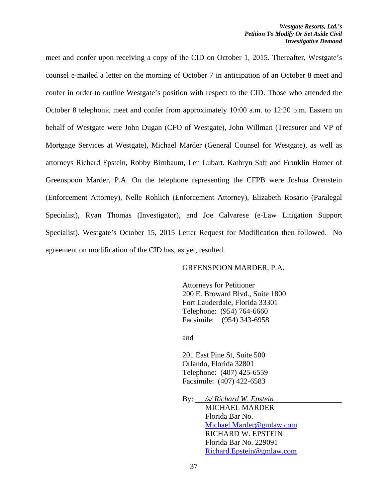meet and confer upon receiving a copy of the CID on October 1, 2015. Thereafter, Westgate's counsel e-mailed a letter on the morning of October 7 in anticipation of an October 8 meet and confer in order to outline Westgate's position with respect to the CID. Those who attended the October 8 telephonic meet and confer from approximately 10:00 a.m. to 12:20 p.m. Eastern on behalf of Westgate were John Dugan (CFO of Westgate), John Willman (Treasurer and VP of Mortgage Services at Westgate), Michael Marder (General Counsel for Westgate), as well as attorneys Richard Epstein, Robby Birnbaum, Len Lubart, Kathryn Saft and Franklin Homer of Greenspoon Marder, P.A. On the telephone representing the CFPB were Joshua Orenstein (Enforcement Attorney), Nelle Rohlich (Enforcement Attorney), Elizabeth Rosario (Paralegal Specialist), Ryan Thomas (Investigator), and Joe Calvarese (e-Law Litigation Support Specialist). Westgate's October 15, 2015 Letter Request for Modification then followed. No agreement on modification of the CID has, as yet, resulted.

### GREENSPOON MARDER, P.A.

Attorneys for Petitioner 200 E. Broward Blvd., Suite 1800 Fort Lauderdale, Florida 33301 Telephone: (954) 764-6660 Facsimile: (954) 343-6958

and

201 East Pine St, Suite 500 Orlando, Florida 32801 Telephone: (407) 425-6559 Facsimile: (407) 422-6583

By: */s/ Richard W. Epstein*  MICHAEL MARDER

 Florida Bar No. Michael.Marder@gmlaw.com RICHARD W. EPSTEIN Florida Bar No. 229091 Richard.Epstein@gmlaw.com